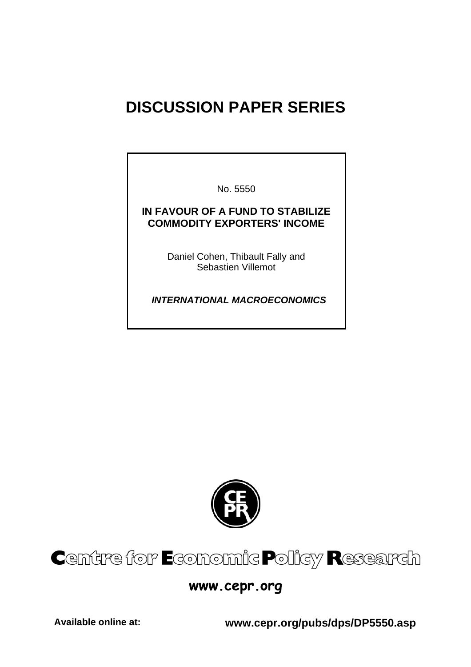# **DISCUSSION PAPER SERIES**

No. 5550

### **IN FAVOUR OF A FUND TO STABILIZE COMMODITY EXPORTERS' INCOME**

Daniel Cohen, Thibault Fally and Sebastien Villemot

 *INTERNATIONAL MACROECONOMICS* 



# Centre for Economic Policy Research

# **www.cepr.org**

**Available online at: www.cepr.org/pubs/dps/DP5550.asp**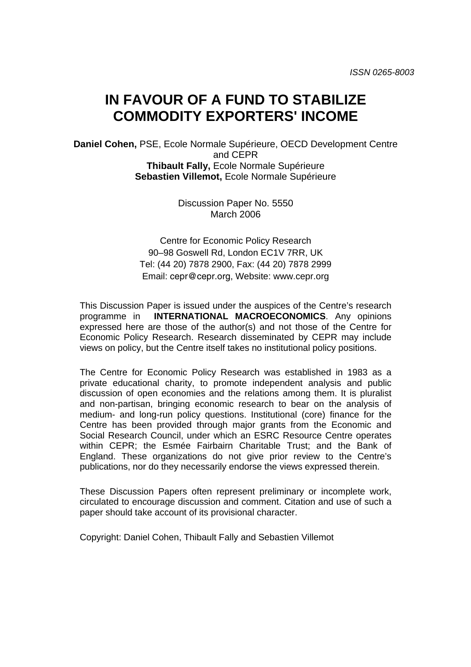# **IN FAVOUR OF A FUND TO STABILIZE COMMODITY EXPORTERS' INCOME**

**Daniel Cohen,** PSE, Ecole Normale Supérieure, OECD Development Centre and CEPR **Thibault Fally,** Ecole Normale Supérieure **Sebastien Villemot,** Ecole Normale Supérieure

> Discussion Paper No. 5550 March 2006

Centre for Economic Policy Research 90–98 Goswell Rd, London EC1V 7RR, UK Tel: (44 20) 7878 2900, Fax: (44 20) 7878 2999 Email: cepr@cepr.org, Website: www.cepr.org

This Discussion Paper is issued under the auspices of the Centre's research programme in **INTERNATIONAL MACROECONOMICS**. Any opinions expressed here are those of the author(s) and not those of the Centre for Economic Policy Research. Research disseminated by CEPR may include views on policy, but the Centre itself takes no institutional policy positions.

The Centre for Economic Policy Research was established in 1983 as a private educational charity, to promote independent analysis and public discussion of open economies and the relations among them. It is pluralist and non-partisan, bringing economic research to bear on the analysis of medium- and long-run policy questions. Institutional (core) finance for the Centre has been provided through major grants from the Economic and Social Research Council, under which an ESRC Resource Centre operates within CEPR; the Esmée Fairbairn Charitable Trust; and the Bank of England. These organizations do not give prior review to the Centre's publications, nor do they necessarily endorse the views expressed therein.

These Discussion Papers often represent preliminary or incomplete work, circulated to encourage discussion and comment. Citation and use of such a paper should take account of its provisional character.

Copyright: Daniel Cohen, Thibault Fally and Sebastien Villemot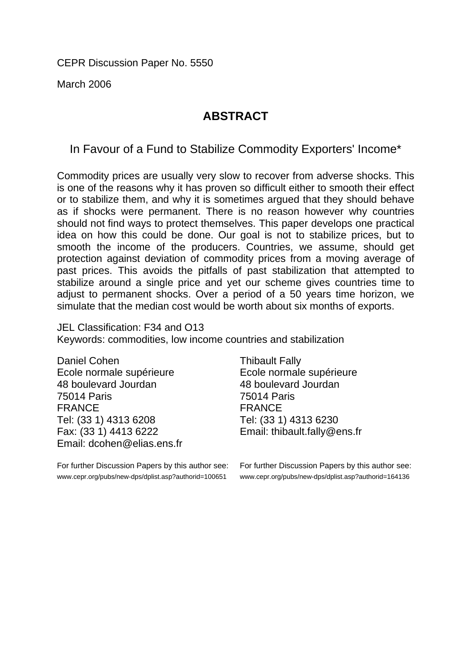CEPR Discussion Paper No. 5550

March 2006

## **ABSTRACT**

In Favour of a Fund to Stabilize Commodity Exporters' Income\*

Commodity prices are usually very slow to recover from adverse shocks. This is one of the reasons why it has proven so difficult either to smooth their effect or to stabilize them, and why it is sometimes argued that they should behave as if shocks were permanent. There is no reason however why countries should not find ways to protect themselves. This paper develops one practical idea on how this could be done. Our goal is not to stabilize prices, but to smooth the income of the producers. Countries, we assume, should get protection against deviation of commodity prices from a moving average of past prices. This avoids the pitfalls of past stabilization that attempted to stabilize around a single price and yet our scheme gives countries time to adjust to permanent shocks. Over a period of a 50 years time horizon, we simulate that the median cost would be worth about six months of exports.

JEL Classification: F34 and O13 Keywords: commodities, low income countries and stabilization

Daniel Cohen Ecole normale supérieure 48 boulevard Jourdan 75014 Paris FRANCE Tel: (33 1) 4313 6208 Fax: (33 1) 4413 6222 Email: dcohen@elias.ens.fr

For further Discussion Papers by this author see: www.cepr.org/pubs/new-dps/dplist.asp?authorid=100651

Thibault Fally Ecole normale supérieure 48 boulevard Jourdan 75014 Paris FRANCE Tel: (33 1) 4313 6230 Email: thibault.fally@ens.fr

For further Discussion Papers by this author see: www.cepr.org/pubs/new-dps/dplist.asp?authorid=164136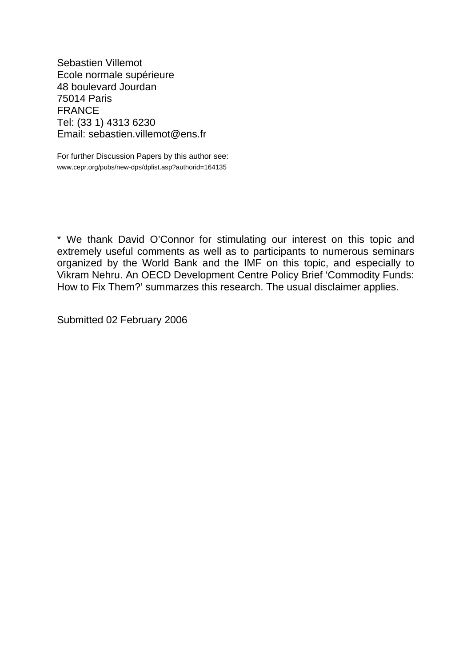Sebastien Villemot Ecole normale supérieure 48 boulevard Jourdan 75014 Paris FRANCE Tel: (33 1) 4313 6230 Email: sebastien.villemot@ens.fr

For further Discussion Papers by this author see: www.cepr.org/pubs/new-dps/dplist.asp?authorid=164135

\* We thank David O'Connor for stimulating our interest on this topic and extremely useful comments as well as to participants to numerous seminars organized by the World Bank and the IMF on this topic, and especially to Vikram Nehru. An OECD Development Centre Policy Brief 'Commodity Funds: How to Fix Them?' summarzes this research. The usual disclaimer applies.

Submitted 02 February 2006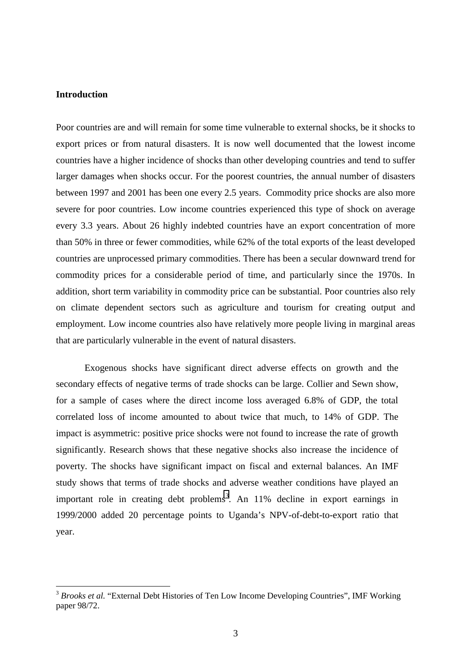#### **Introduction**

 $\overline{a}$ 

Poor countries are and will remain for some time vulnerable to external shocks, be it shocks to export prices or from natural disasters. It is now well documented that the lowest income countries have a higher incidence of shocks than other developing countries and tend to suffer larger damages when shocks occur. For the poorest countries, the annual number of disasters between 1997 and 2001 has been one every 2.5 years. Commodity price shocks are also more severe for poor countries. Low income countries experienced this type of shock on average every 3.3 years. About 26 highly indebted countries have an export concentration of more than 50% in three or fewer commodities, while 62% of the total exports of the least developed countries are unprocessed primary commodities. There has been a secular downward trend for commodity prices for a considerable period of time, and particularly since the 1970s. In addition, short term variability in commodity price can be substantial. Poor countries also rely on climate dependent sectors such as agriculture and tourism for creating output and employment. Low income countries also have relatively more people living in marginal areas that are particularly vulnerable in the event of natural disasters.

Exogenous shocks have significant direct adverse effects on growth and the secondary effects of negative terms of trade shocks can be large. Collier and Sewn show, for a sample of cases where the direct income loss averaged 6.8% of GDP, the total correlated loss of income amounted to about twice that much, to 14% of GDP. The impact is asymmetric: positive price shocks were not found to increase the rate of growth significantly. Research shows that these negative shocks also increase the incidence of poverty. The shocks have significant impact on fiscal and external balances. An IMF study shows that terms of trade shocks and adverse weather conditions have played an important role in creating debt problems<sup>3</sup>. An  $11\%$  decline in export earnings in 1999/2000 added 20 percentage points to Uganda's NPV-of-debt-to-export ratio that year.

<sup>&</sup>lt;sup>3</sup> *Brooks et al.* "External Debt Histories of Ten Low Income Developing Countries", IMF Working paper 98/72.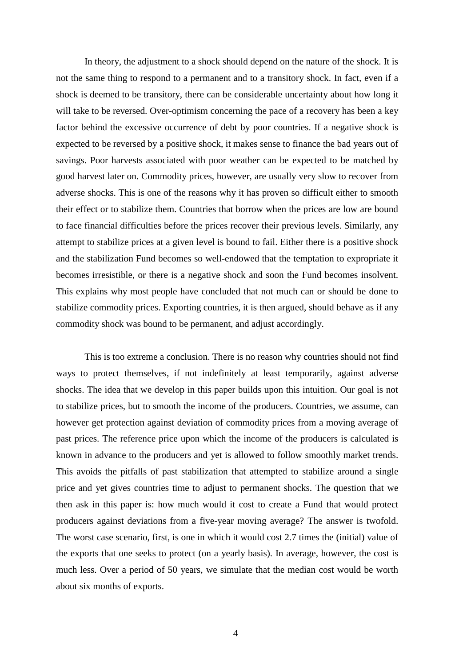In theory, the adjustment to a shock should depend on the nature of the shock. It is not the same thing to respond to a permanent and to a transitory shock. In fact, even if a shock is deemed to be transitory, there can be considerable uncertainty about how long it will take to be reversed. Over-optimism concerning the pace of a recovery has been a key factor behind the excessive occurrence of debt by poor countries. If a negative shock is expected to be reversed by a positive shock, it makes sense to finance the bad years out of savings. Poor harvests associated with poor weather can be expected to be matched by good harvest later on. Commodity prices, however, are usually very slow to recover from adverse shocks. This is one of the reasons why it has proven so difficult either to smooth their effect or to stabilize them. Countries that borrow when the prices are low are bound to face financial difficulties before the prices recover their previous levels. Similarly, any attempt to stabilize prices at a given level is bound to fail. Either there is a positive shock and the stabilization Fund becomes so well-endowed that the temptation to expropriate it becomes irresistible, or there is a negative shock and soon the Fund becomes insolvent. This explains why most people have concluded that not much can or should be done to stabilize commodity prices. Exporting countries, it is then argued, should behave as if any commodity shock was bound to be permanent, and adjust accordingly.

This is too extreme a conclusion. There is no reason why countries should not find ways to protect themselves, if not indefinitely at least temporarily, against adverse shocks. The idea that we develop in this paper builds upon this intuition. Our goal is not to stabilize prices, but to smooth the income of the producers. Countries, we assume, can however get protection against deviation of commodity prices from a moving average of past prices. The reference price upon which the income of the producers is calculated is known in advance to the producers and yet is allowed to follow smoothly market trends. This avoids the pitfalls of past stabilization that attempted to stabilize around a single price and yet gives countries time to adjust to permanent shocks. The question that we then ask in this paper is: how much would it cost to create a Fund that would protect producers against deviations from a five-year moving average? The answer is twofold. The worst case scenario, first, is one in which it would cost 2.7 times the (initial) value of the exports that one seeks to protect (on a yearly basis). In average, however, the cost is much less. Over a period of 50 years, we simulate that the median cost would be worth about six months of exports.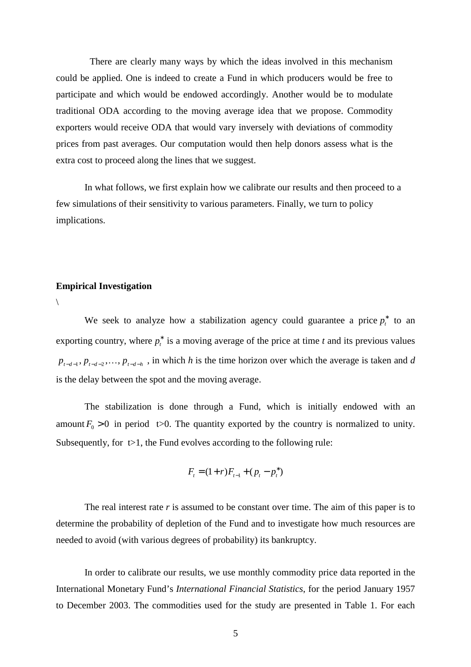There are clearly many ways by which the ideas involved in this mechanism could be applied. One is indeed to create a Fund in which producers would be free to participate and which would be endowed accordingly. Another would be to modulate traditional ODA according to the moving average idea that we propose. Commodity exporters would receive ODA that would vary inversely with deviations of commodity prices from past averages. Our computation would then help donors assess what is the extra cost to proceed along the lines that we suggest.

In what follows, we first explain how we calibrate our results and then proceed to a few simulations of their sensitivity to various parameters. Finally, we turn to policy implications.

#### **Empirical Investigation**

 $\setminus$ 

We seek to analyze how a stabilization agency could guarantee a price  $p_t^*$  to an exporting country, where  $p_t^*$  is a moving average of the price at time *t* and its previous values  $p_{t-d-1}, p_{t-d-2}, \ldots, p_{t-d-h}$ , in which *h* is the time horizon over which the average is taken and *d* is the delay between the spot and the moving average.

The stabilization is done through a Fund, which is initially endowed with an amount  $F_0 > 0$  in period t>0. The quantity exported by the country is normalized to unity. Subsequently, for  $t>1$ , the Fund evolves according to the following rule:

$$
F_t = (1+r)F_{t-1} + (p_t - p_t^*)
$$

The real interest rate *r* is assumed to be constant over time. The aim of this paper is to determine the probability of depletion of the Fund and to investigate how much resources are needed to avoid (with various degrees of probability) its bankruptcy.

In order to calibrate our results, we use monthly commodity price data reported in the International Monetary Fund's *International Financial Statistics*, for the period January 1957 to December 2003. The commodities used for the study are presented in Table 1. For each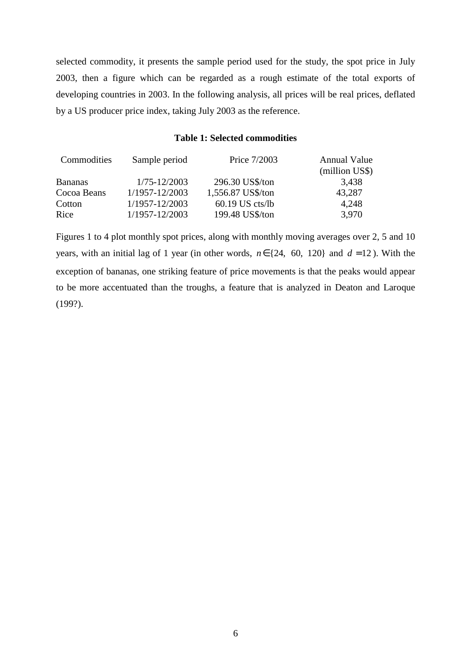selected commodity, it presents the sample period used for the study, the spot price in July 2003, then a figure which can be regarded as a rough estimate of the total exports of developing countries in 2003. In the following analysis, all prices will be real prices, deflated by a US producer price index, taking July 2003 as the reference.

#### **Table 1: Selected commodities**

| Sample period    | Price 7/2003      | <b>Annual Value</b><br>(million US\$) |
|------------------|-------------------|---------------------------------------|
| $1/75 - 12/2003$ | 296.30 US\$/ton   | 3,438                                 |
| 1/1957-12/2003   | 1,556.87 US\$/ton | 43,287                                |
| 1/1957-12/2003   | $60.19$ US cts/lb | 4,248                                 |
| 1/1957-12/2003   | 199.48 US\$/ton   | 3.970                                 |
|                  |                   |                                       |

Figures 1 to 4 plot monthly spot prices, along with monthly moving averages over 2, 5 and 10 years, with an initial lag of 1 year (in other words,  $n \in \{24, 60, 120\}$  and  $d = 12$ ). With the exception of bananas, one striking feature of price movements is that the peaks would appear to be more accentuated than the troughs, a feature that is analyzed in Deaton and Laroque (199?).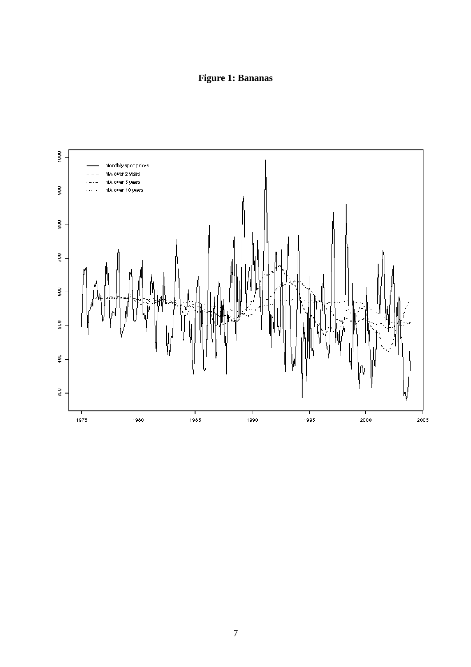# **Figure 1: Bananas**

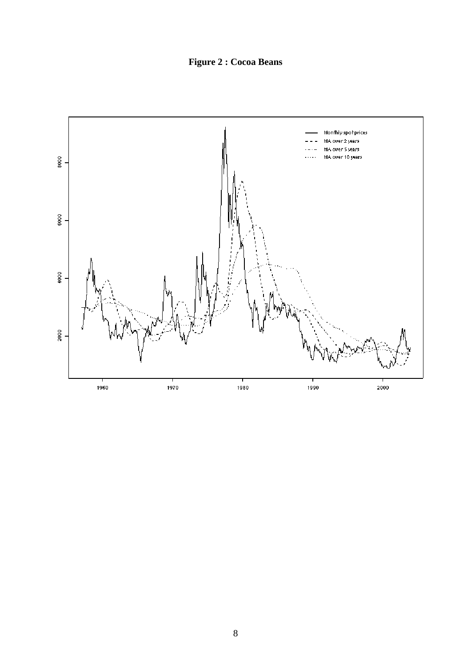**Figure 2 : Cocoa Beans**

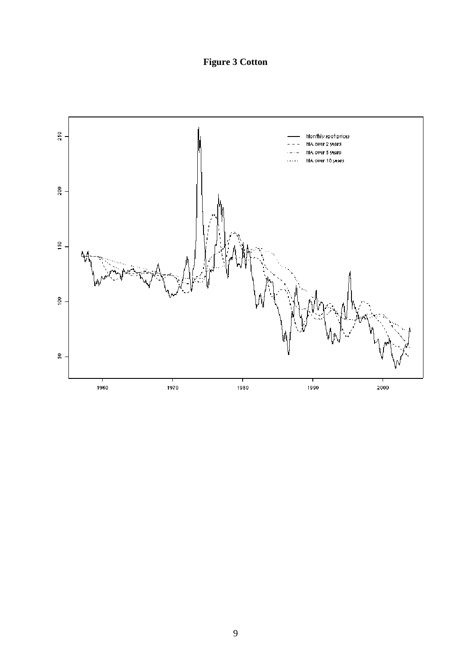**Figure 3 Cotton**

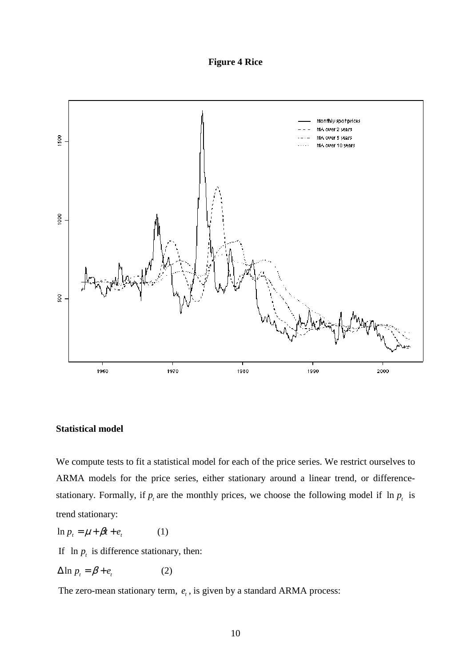**Figure 4 Rice**



#### **Statistical model**

We compute tests to fit a statistical model for each of the price series. We restrict ourselves to ARMA models for the price series, either stationary around a linear trend, or differencestationary. Formally, if  $p_t$  are the monthly prices, we choose the following model if  $\ln p_t$  is trend stationary:

 $\ln p_t = \mu + \beta t + e_t$  (1)

If  $\ln p_t$  is difference stationary, then:

 $\Delta \ln p_t = \beta + e_t$  (2)

The zero-mean stationary term,  $e_t$ , is given by a standard ARMA process: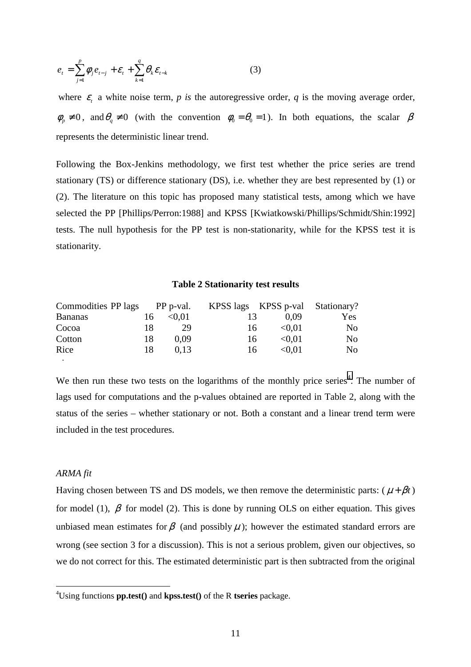$$
e_{t} = \sum_{j=1}^{p} \phi_{j} e_{t-j} + \mathcal{E}_{t} + \sum_{k=1}^{q} \theta_{k} \mathcal{E}_{t-k}
$$
(3)

where  $\varepsilon$  a white noise term, p is the autoregressive order, q is the moving average order,  $\phi_p \neq 0$ , and  $\theta_q \neq 0$  (with the convention  $\phi_0 = \theta_0 = 1$ ). In both equations, the scalar  $\beta$ represents the deterministic linear trend.

Following the Box-Jenkins methodology, we first test whether the price series are trend stationary (TS) or difference stationary (DS), i.e. whether they are best represented by (1) or (2). The literature on this topic has proposed many statistical tests, among which we have selected the PP [Phillips/Perron:1988] and KPSS [Kwiatkowski/Phillips/Schmidt/Shin:1992] tests. The null hypothesis for the PP test is non-stationarity, while for the KPSS test it is stationarity.

#### **Table 2 Stationarity test results**

| Commodities PP lags PP p-val. |    |        |    |        | KPSS lags KPSS p-val Stationary? |
|-------------------------------|----|--------|----|--------|----------------------------------|
| <b>Bananas</b>                | 16 | < 0.01 | 13 | 0.09   | <b>Yes</b>                       |
| Cocoa                         | 18 | 29     | 16 | < 0.01 | No                               |
| Cotton                        | 18 | 0.09   | 16 | < 0.01 | No                               |
| Rice                          | 18 | 0.13   | 16 | < 0.01 | No                               |

We then run these two tests on the logarithms of the monthly price series<sup>4</sup>. The number of lags used for computations and the p-values obtained are reported in Table 2, along with the status of the series – whether stationary or not. Both a constant and a linear trend term were included in the test procedures.

#### *ARMA fit*

 $\overline{a}$ 

T

Having chosen between TS and DS models, we then remove the deterministic parts:  $(\mu + \beta t)$ for model (1),  $\beta$  for model (2). This is done by running OLS on either equation. This gives unbiased mean estimates for  $\beta$  (and possibly  $\mu$ ); however the estimated standard errors are wrong (see section 3 for a discussion). This is not a serious problem, given our objectives, so we do not correct for this. The estimated deterministic part is then subtracted from the original

<sup>4</sup> Using functions **pp.test()** and **kpss.test()** of the R **tseries** package.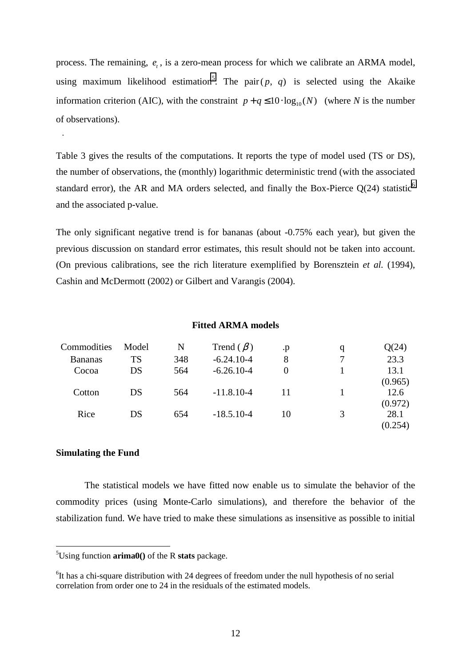process. The remaining,  $e_t$ , is a zero-mean process for which we calibrate an ARMA model, using maximum likelihood estimation<sup>5</sup>. The pair $(p, q)$  is selected using the Akaike information criterion (AIC), with the constraint  $p + q \le 10 \cdot \log_{10}(N)$  (where *N* is the number of observations).

Table 3 gives the results of the computations. It reports the type of model used (TS or DS), the number of observations, the (monthly) logarithmic deterministic trend (with the associated standard error), the AR and MA orders selected, and finally the Box-Pierce  $Q(24)$  statistic<sup>6</sup> and the associated p-value.

The only significant negative trend is for bananas (about -0.75% each year), but given the previous discussion on standard error estimates, this result should not be taken into account. (On previous calibrations, see the rich literature exemplified by Borensztein *et al.* (1994), Cashin and McDermott (2002) or Gilbert and Varangis (2004).

#### **Fitted ARMA models**

| Commodities    | Model | N   | Trend $(\beta)$ | .p       | q | Q(24)           |
|----------------|-------|-----|-----------------|----------|---|-----------------|
| <b>Bananas</b> | TS    | 348 | $-6.24.10-4$    | 8        |   | 23.3            |
| Cocoa          | DS    | 564 | $-6.26.10-4$    | $\Omega$ |   | 13.1<br>(0.965) |
| Cotton         | DS    | 564 | $-11.8.10 - 4$  | 11       |   | 12.6<br>(0.972) |
| Rice           | DS    | 654 | $-18.5.10 - 4$  | 10       | 3 | 28.1<br>(0.254) |

#### **Simulating the Fund**

 $\overline{a}$ 

T

The statistical models we have fitted now enable us to simulate the behavior of the commodity prices (using Monte-Carlo simulations), and therefore the behavior of the stabilization fund. We have tried to make these simulations as insensitive as possible to initial

<sup>5</sup> Using function **arima0()** of the R **stats** package.

<sup>&</sup>lt;sup>6</sup>It has a chi-square distribution with 24 degrees of freedom under the null hypothesis of no serial correlation from order one to 24 in the residuals of the estimated models.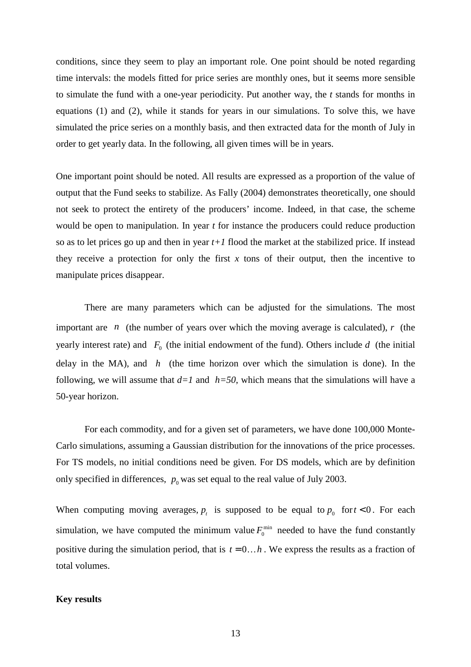conditions, since they seem to play an important role. One point should be noted regarding time intervals: the models fitted for price series are monthly ones, but it seems more sensible to simulate the fund with a one-year periodicity. Put another way, the *t* stands for months in equations (1) and (2), while it stands for years in our simulations. To solve this, we have simulated the price series on a monthly basis, and then extracted data for the month of July in order to get yearly data. In the following, all given times will be in years.

One important point should be noted. All results are expressed as a proportion of the value of output that the Fund seeks to stabilize. As Fally (2004) demonstrates theoretically, one should not seek to protect the entirety of the producers' income. Indeed, in that case, the scheme would be open to manipulation. In year *t* for instance the producers could reduce production so as to let prices go up and then in year  $t+1$  flood the market at the stabilized price. If instead they receive a protection for only the first  $x$  tons of their output, then the incentive to manipulate prices disappear.

There are many parameters which can be adjusted for the simulations. The most important are *n* (the number of years over which the moving average is calculated), *r* (the yearly interest rate) and  $F_0$  (the initial endowment of the fund). Others include  $d$  (the initial delay in the MA), and *h* (the time horizon over which the simulation is done). In the following, we will assume that  $d=1$  and  $h=50$ , which means that the simulations will have a 50-year horizon.

For each commodity, and for a given set of parameters, we have done 100,000 Monte-Carlo simulations, assuming a Gaussian distribution for the innovations of the price processes. For TS models, no initial conditions need be given. For DS models, which are by definition only specified in differences,  $p_0$  was set equal to the real value of July 2003.

When computing moving averages,  $p_t$  is supposed to be equal to  $p_0$  for  $t < 0$ . For each simulation, we have computed the minimum value  $F_0^{\text{min}}$  needed to have the fund constantly positive during the simulation period, that is  $t = 0...h$ . We express the results as a fraction of total volumes.

#### **Key results**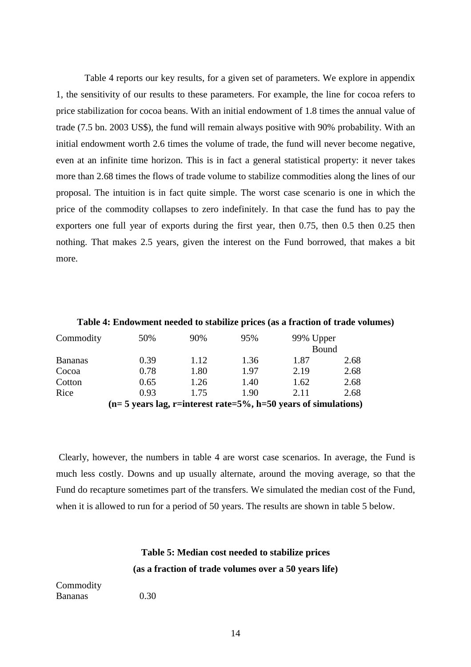Table 4 reports our key results, for a given set of parameters. We explore in appendix 1, the sensitivity of our results to these parameters. For example, the line for cocoa refers to price stabilization for cocoa beans. With an initial endowment of 1.8 times the annual value of trade (7.5 bn. 2003 US\$), the fund will remain always positive with 90% probability. With an initial endowment worth 2.6 times the volume of trade, the fund will never become negative, even at an infinite time horizon. This is in fact a general statistical property: it never takes more than 2.68 times the flows of trade volume to stabilize commodities along the lines of our proposal. The intuition is in fact quite simple. The worst case scenario is one in which the price of the commodity collapses to zero indefinitely. In that case the fund has to pay the exporters one full year of exports during the first year, then 0.75, then 0.5 then 0.25 then nothing. That makes 2.5 years, given the interest on the Fund borrowed, that makes a bit more.

|                                                                  | Table 4: Endowment needed to stabilize prices (as a fraction of trade volumes) |      |      |           |      |  |
|------------------------------------------------------------------|--------------------------------------------------------------------------------|------|------|-----------|------|--|
| Commodity                                                        | 50%                                                                            | 90%  | 95%  | 99% Upper |      |  |
|                                                                  |                                                                                |      |      | Bound     |      |  |
| <b>Bananas</b>                                                   | 0.39                                                                           | 1.12 | 1.36 | 1.87      | 2.68 |  |
| Cocoa                                                            | 0.78                                                                           | 1.80 | 1.97 | 2.19      | 2.68 |  |
| Cotton                                                           | 0.65                                                                           | 1.26 | 1.40 | 1.62      | 2.68 |  |
| Rice                                                             | 0.93                                                                           | 1.75 | 1.90 | 2.11      | 2.68 |  |
| $(n=5$ years lag, r=interest rate=5%, h=50 years of simulations) |                                                                                |      |      |           |      |  |

Clearly, however, the numbers in table 4 are worst case scenarios. In average, the Fund is much less costly. Downs and up usually alternate, around the moving average, so that the Fund do recapture sometimes part of the transfers. We simulated the median cost of the Fund, when it is allowed to run for a period of 50 years. The results are shown in table 5 below.

### **Table 5: Median cost needed to stabilize prices (as a fraction of trade volumes over a 50 years life)**

Commodity Bananas 0.30

14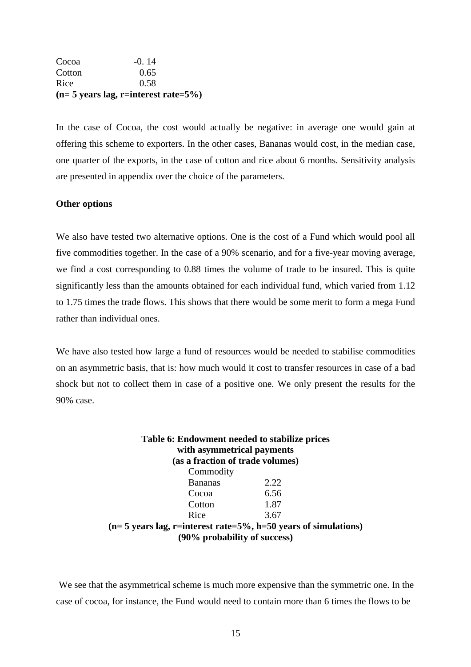| $(n=5 \text{ years lag}, r=interest rate=5\%)$ |         |  |  |  |
|------------------------------------------------|---------|--|--|--|
| Rice                                           | 0.58    |  |  |  |
| Cotton                                         | 0.65    |  |  |  |
| Cocoa                                          | $-0.14$ |  |  |  |

In the case of Cocoa, the cost would actually be negative: in average one would gain at offering this scheme to exporters. In the other cases, Bananas would cost, in the median case, one quarter of the exports, in the case of cotton and rice about 6 months. Sensitivity analysis are presented in appendix over the choice of the parameters.

#### **Other options**

We also have tested two alternative options. One is the cost of a Fund which would pool all five commodities together. In the case of a 90% scenario, and for a five-year moving average, we find a cost corresponding to 0.88 times the volume of trade to be insured. This is quite significantly less than the amounts obtained for each individual fund, which varied from 1.12 to 1.75 times the trade flows. This shows that there would be some merit to form a mega Fund rather than individual ones.

We have also tested how large a fund of resources would be needed to stabilise commodities on an asymmetric basis, that is: how much would it cost to transfer resources in case of a bad shock but not to collect them in case of a positive one. We only present the results for the 90% case.

| Table 6: Endowment needed to stabilize prices<br>with asymmetrical payments<br>(as a fraction of trade volumes) |      |  |
|-----------------------------------------------------------------------------------------------------------------|------|--|
| Commodity                                                                                                       |      |  |
| <b>Bananas</b>                                                                                                  | 2.22 |  |
| Cocoa                                                                                                           | 6.56 |  |
| Cotton                                                                                                          | 1.87 |  |
| Rice                                                                                                            | 3.67 |  |
| $(n=5$ years lag, r=interest rate=5%, h=50 years of simulations)                                                |      |  |
| (90% probability of success)                                                                                    |      |  |

We see that the asymmetrical scheme is much more expensive than the symmetric one. In the case of cocoa, for instance, the Fund would need to contain more than 6 times the flows to be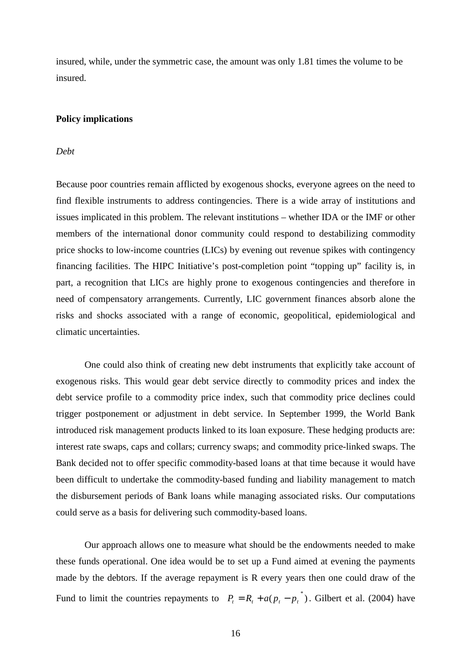insured, while, under the symmetric case, the amount was only 1.81 times the volume to be insured.

#### **Policy implications**

#### *Debt*

Because poor countries remain afflicted by exogenous shocks, everyone agrees on the need to find flexible instruments to address contingencies. There is a wide array of institutions and issues implicated in this problem. The relevant institutions – whether IDA or the IMF or other members of the international donor community could respond to destabilizing commodity price shocks to low-income countries (LICs) by evening out revenue spikes with contingency financing facilities. The HIPC Initiative's post-completion point "topping up" facility is, in part, a recognition that LICs are highly prone to exogenous contingencies and therefore in need of compensatory arrangements. Currently, LIC government finances absorb alone the risks and shocks associated with a range of economic, geopolitical, epidemiological and climatic uncertainties.

One could also think of creating new debt instruments that explicitly take account of exogenous risks. This would gear debt service directly to commodity prices and index the debt service profile to a commodity price index, such that commodity price declines could trigger postponement or adjustment in debt service. In September 1999, the World Bank introduced risk management products linked to its loan exposure. These hedging products are: interest rate swaps, caps and collars; currency swaps; and commodity price-linked swaps. The Bank decided not to offer specific commodity-based loans at that time because it would have been difficult to undertake the commodity-based funding and liability management to match the disbursement periods of Bank loans while managing associated risks. Our computations could serve as a basis for delivering such commodity-based loans.

Our approach allows one to measure what should be the endowments needed to make these funds operational. One idea would be to set up a Fund aimed at evening the payments made by the debtors. If the average repayment is R every years then one could draw of the Fund to limit the countries repayments to  $P_t = R_t + a(p_t - p_t^*)$ . Gilbert et al. (2004) have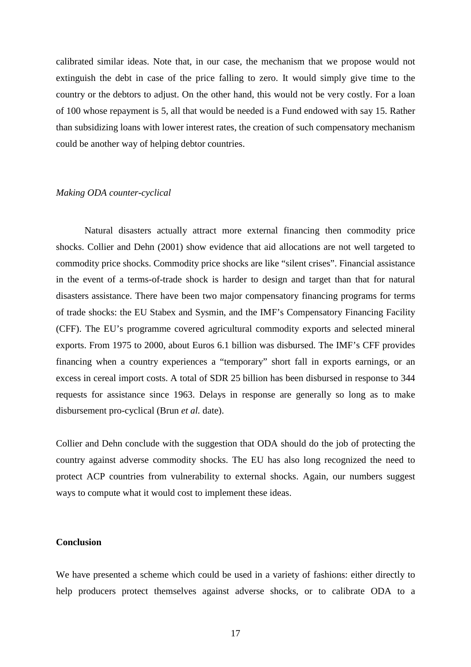calibrated similar ideas. Note that, in our case, the mechanism that we propose would not extinguish the debt in case of the price falling to zero. It would simply give time to the country or the debtors to adjust. On the other hand, this would not be very costly. For a loan of 100 whose repayment is 5, all that would be needed is a Fund endowed with say 15. Rather than subsidizing loans with lower interest rates, the creation of such compensatory mechanism could be another way of helping debtor countries.

#### *Making ODA counter-cyclical*

Natural disasters actually attract more external financing then commodity price shocks. Collier and Dehn (2001) show evidence that aid allocations are not well targeted to commodity price shocks. Commodity price shocks are like "silent crises". Financial assistance in the event of a terms-of-trade shock is harder to design and target than that for natural disasters assistance. There have been two major compensatory financing programs for terms of trade shocks: the EU Stabex and Sysmin, and the IMF's Compensatory Financing Facility (CFF). The EU's programme covered agricultural commodity exports and selected mineral exports. From 1975 to 2000, about Euros 6.1 billion was disbursed. The IMF's CFF provides financing when a country experiences a "temporary" short fall in exports earnings, or an excess in cereal import costs. A total of SDR 25 billion has been disbursed in response to 344 requests for assistance since 1963. Delays in response are generally so long as to make disbursement pro-cyclical (Brun *et al.* date).

Collier and Dehn conclude with the suggestion that ODA should do the job of protecting the country against adverse commodity shocks. The EU has also long recognized the need to protect ACP countries from vulnerability to external shocks. Again, our numbers suggest ways to compute what it would cost to implement these ideas.

#### **Conclusion**

We have presented a scheme which could be used in a variety of fashions: either directly to help producers protect themselves against adverse shocks, or to calibrate ODA to a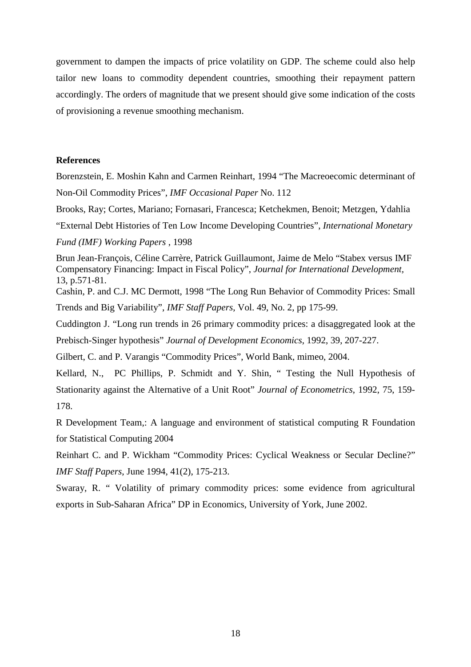government to dampen the impacts of price volatility on GDP. The scheme could also help tailor new loans to commodity dependent countries, smoothing their repayment pattern accordingly. The orders of magnitude that we present should give some indication of the costs of provisioning a revenue smoothing mechanism.

#### **References**

Borenzstein, E. Moshin Kahn and Carmen Reinhart, 1994 "The Macreoecomic determinant of Non-Oil Commodity Prices", *IMF Occasional Paper* No. 112

Brooks, Ray; Cortes, Mariano; Fornasari, Francesca; Ketchekmen, Benoit; Metzgen, Ydahlia

"External Debt Histories of Ten Low Income Developing Countries", *International Monetary*

*Fund (IMF) Working Papers* , 1998

Brun Jean-François, Céline Carrère, Patrick Guillaumont, Jaime de Melo "Stabex versus IMF Compensatory Financing: Impact in Fiscal Policy", *Journal for International Development,* 13, p.571-81.

Cashin, P. and C.J. MC Dermott, 1998 "The Long Run Behavior of Commodity Prices: Small Trends and Big Variability", *IMF Staff Papers*, Vol. 49, No. 2, pp 175-99.

Cuddington J. "Long run trends in 26 primary commodity prices: a disaggregated look at the Prebisch-Singer hypothesis" *Journal of Development Economics*, 1992, 39, 207-227.

Gilbert, C. and P. Varangis "Commodity Prices", World Bank, mimeo, 2004.

Kellard, N., PC Phillips, P. Schmidt and Y. Shin, " Testing the Null Hypothesis of Stationarity against the Alternative of a Unit Root" *Journal of Econometrics*, 1992, 75, 159- 178.

R Development Team,: A language and environment of statistical computing R Foundation for Statistical Computing 2004

Reinhart C. and P. Wickham "Commodity Prices: Cyclical Weakness or Secular Decline?" *IMF Staff Papers*, June 1994, 41(2), 175-213.

Swaray, R. " Volatility of primary commodity prices: some evidence from agricultural exports in Sub-Saharan Africa" DP in Economics, University of York, June 2002.